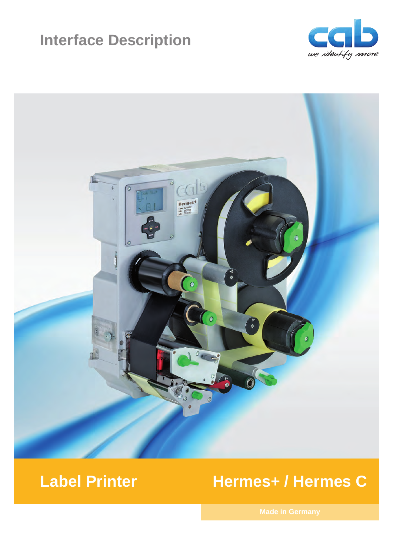# **Interface Description**





# **Label Printer Hermes+ / Hermes C**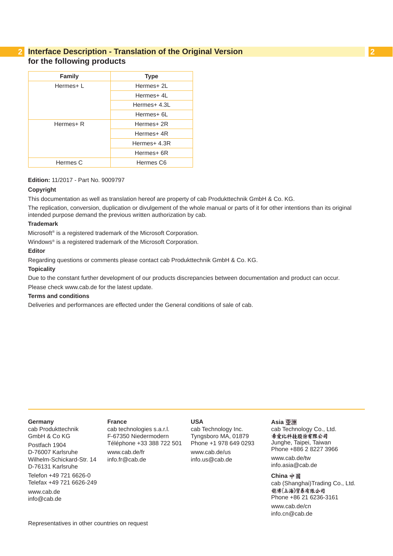# **2 2 Interface Description - Translation of the Original Version for the following products**

| <b>Family</b> | <b>Type</b>  |  |  |
|---------------|--------------|--|--|
|               |              |  |  |
| Hermes+L      | Hermes+ 2L   |  |  |
|               | Hermes+ 4L   |  |  |
|               | Hermes+ 4.3L |  |  |
|               | Hermes+ 6L   |  |  |
| Hermes+ R     | Hermes+ 2R   |  |  |
|               | Hermes+ 4R   |  |  |
|               | Hermes+ 4.3R |  |  |
|               | Hermes+ 6R   |  |  |
| Hermes C      | Hermes C6    |  |  |
|               |              |  |  |

### **Edition:** 11/2017 - Part No. 9009797

### **Copyright**

This documentation as well as translation hereof are property of cab Produkttechnik GmbH & Co. KG.

The replication, conversion, duplication or divulgement of the whole manual or parts of it for other intentions than its original intended purpose demand the previous written authorization by cab.

### **Trademark**

Microsoft® is a registered trademark of the Microsoft Corporation.

Windows® is a registered trademark of the Microsoft Corporation.

### **Editor**

Regarding questions or comments please contact cab Produkttechnik GmbH & Co. KG.

#### **Topicality**

Due to the constant further development of our products discrepancies between documentation and product can occur.

Please check www.cab.de for the latest update.

### **Terms and conditions**

Deliveries and performances are effected under the General conditions of sale of cab.

#### **Germany**

cab Produkttechnik GmbH & Co KG Postfach 1904 D-76007 Karlsruhe Wilhelm-Schickard-Str. 14 D-76131 Karlsruhe Telefon +49 721 6626-0 Telefax +49 721 6626-249 www.cab.de info@cab.de

#### **France**

cab technologies s.a.r.l. F-67350 Niedermodern Téléphone +33 388 722 501 www.cab.de/fr info.fr@cab.de

### **USA**

cab Technology Inc. Tyngsboro MA, 01879 Phone +1 978 649 0293 www.cab.de/us info.us@cab.de

#### **Asia**

cab Technology Co., Ltd.<br>希爱比科技股份有限公司 Junghe, Taipei, Taiwan Phone +886 2 8227 3966

www.cab.de/tw info.asia@cab.de

**China**  cab (Shanghai)Trading Co., Ltd. 铠博(上海)贸易有限公司 Phone +86 21 6236-3161 www.cab.de/cn

info.cn@cab.de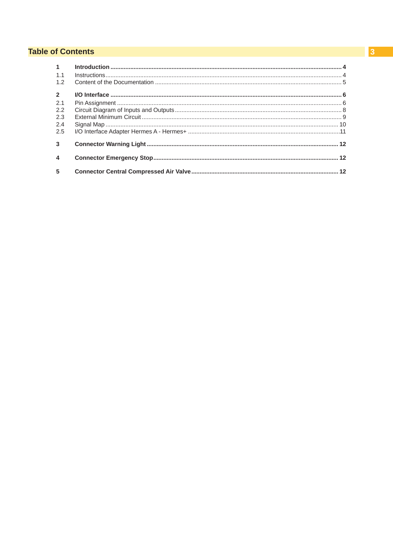# **Table of Contents**

| $\sim$                  |  |
|-------------------------|--|
| 1.1                     |  |
| 1.2                     |  |
| $\overline{2}$          |  |
| 2.1                     |  |
| 2.2                     |  |
| 2.3                     |  |
| 2.4                     |  |
| 2.5                     |  |
| $\mathbf{3}$            |  |
| $\overline{\mathbf{4}}$ |  |
| 5                       |  |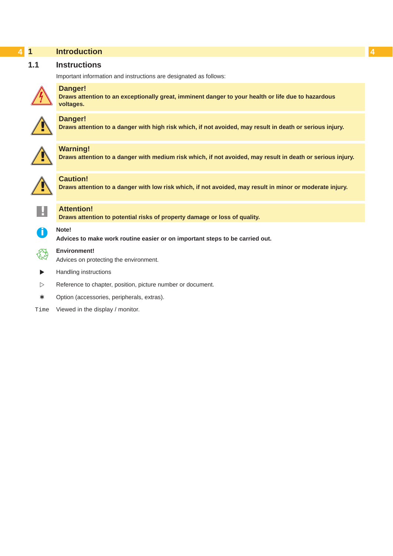<span id="page-3-1"></span><span id="page-3-0"></span>

|     | <b>Introduction</b>                                                                                                               |
|-----|-----------------------------------------------------------------------------------------------------------------------------------|
| 1.1 | <b>Instructions</b>                                                                                                               |
|     | Important information and instructions are designated as follows:                                                                 |
|     | <b>Danger!</b><br>Draws attention to an exceptionally great, imminent danger to your health or life due to hazardous<br>voltages. |
|     | <b>Danger!</b><br>Draws attention to a danger with high risk which, if not avoided, may result in death or serious injury.        |
|     | <b>Warning!</b><br>Draws attention to a danger with medium risk which, if not avoided, may result in death or serious injury.     |
|     | <b>Caution!</b><br>Draws attention to a danger with low risk which, if not avoided, may result in minor or moderate injury.       |
|     | <b>Attention!</b><br>Draws attention to potential risks of property damage or loss of quality.                                    |
| f   | Note!<br>Advices to make work routine easier or on important steps to be carried out.                                             |
|     | <b>Environment!</b><br>Advices on protecting the environment.                                                                     |
| ▶   | Handling instructions                                                                                                             |

- $\triangleright$  Reference to chapter, position, picture number or document.
- \* Option (accessories, peripherals, extras).
- Time Viewed in the display / monitor.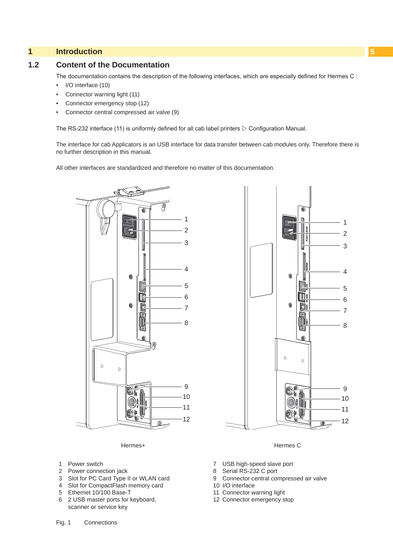# <span id="page-4-0"></span>**1 [Introduction](#page-3-1) 5**

### **1.2 Content of the Documentation**

The documentation contains the description of the following interfaces, which are especially defined for Hermes C :

- I/O interface (10)
- Connector warning light (11)
- Connector emergency stop (12)
- Connector central compressed air valve (9)

The RS-232 interface (11) is uniformly defined for all cab label printers  $\triangleright$  Configuration Manual.

The interface for cab Applicators is an USB interface for data transfer between cab modules only. Therefore there is no further description in this manual.

All other interfaces are standardized and therefore no matter of this documentation.



Hermes+

- 1 Power switch
- 2 Power connection jack
- 3 Slot for PC Card Type II or WLAN card
- 4 Slot for CompactFlash memory card
- 5 Ethernet 10/100 Base-T
- 6 2 USB master ports for keyboard, scanner or service key



Hermes C

- 7 USB high-speed slave port
- 8 Serial RS-232 C port
- 9 Connector central compressed air valve
- 10 I/O interface
- 11 Connector warning light
- 12 Connector emergency stop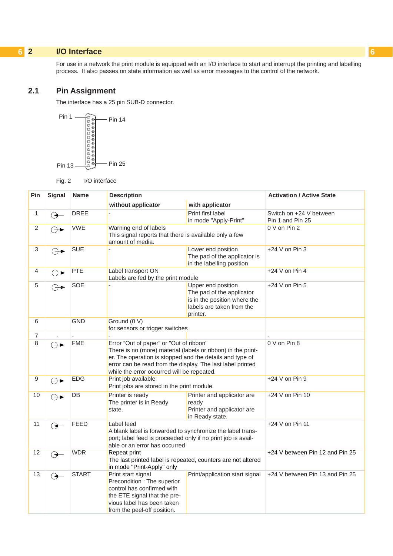# <span id="page-5-0"></span>**6 2 I/O Interface 6**

<span id="page-5-1"></span>For use in a network the print module is equipped with an I/O interface to start and interrupt the printing and labelling process. It also passes on state information as well as error messages to the control of the network.

# **2.1 Pin Assignment**

The interface has a 25 pin SUB-D connector.



Fig. 2 I/O interface

| Pin              | <b>Signal</b>                 | <b>Name</b>  | <b>Description</b>                                                                                                                                                                                                                                                              |                                                                                                                          | <b>Activation / Active State</b>            |  |  |  |
|------------------|-------------------------------|--------------|---------------------------------------------------------------------------------------------------------------------------------------------------------------------------------------------------------------------------------------------------------------------------------|--------------------------------------------------------------------------------------------------------------------------|---------------------------------------------|--|--|--|
|                  |                               |              | without applicator                                                                                                                                                                                                                                                              | with applicator                                                                                                          |                                             |  |  |  |
| 1                | ↷                             | <b>DREE</b>  |                                                                                                                                                                                                                                                                                 | Print first label<br>in mode "Apply-Print"                                                                               | Switch on +24 V between<br>Pin 1 and Pin 25 |  |  |  |
| 2                | ⊖►                            | <b>VWE</b>   | Warning end of labels<br>This signal reports that there is available only a few<br>amount of media.                                                                                                                                                                             | 0 V on Pin 2                                                                                                             |                                             |  |  |  |
| 3                | ⊝►                            | <b>SUE</b>   |                                                                                                                                                                                                                                                                                 | Lower end position<br>The pad of the applicator is<br>in the labelling position                                          |                                             |  |  |  |
| 4                | ⊖ ∕                           | PTE          | Label transport ON<br>Labels are fed by the print module                                                                                                                                                                                                                        |                                                                                                                          | $+24$ V on Pin 4                            |  |  |  |
| 5                | ⊖⊣                            | <b>SOE</b>   |                                                                                                                                                                                                                                                                                 | Upper end position<br>The pad of the applicator<br>is in the position where the<br>labels are taken from the<br>printer. | $+24$ V on Pin 5                            |  |  |  |
| 6                |                               | <b>GND</b>   | Ground (0 V)<br>for sensors or trigger switches                                                                                                                                                                                                                                 |                                                                                                                          |                                             |  |  |  |
| 7                | $\overline{a}$                | $\sim$       |                                                                                                                                                                                                                                                                                 |                                                                                                                          |                                             |  |  |  |
| 8                | $\ominus \blacktriangleright$ | <b>FME</b>   | Error "Out of paper" or "Out of ribbon"<br>There is no (more) material (labels or ribbon) in the print-<br>er. The operation is stopped and the details and type of<br>error can be read from the display. The last label printed<br>while the error occurred will be repeated. | 0 V on Pin 8                                                                                                             |                                             |  |  |  |
| $\boldsymbol{9}$ | $\ominus \blacktriangleright$ | <b>EDG</b>   | Print job available<br>Print jobs are stored in the print module.                                                                                                                                                                                                               | +24 V on Pin 9                                                                                                           |                                             |  |  |  |
| 10               | ⊖►                            | DB           | Printer is ready<br>The printer is in Ready<br>state.                                                                                                                                                                                                                           | Printer and applicator are<br>ready<br>Printer and applicator are<br>in Ready state.                                     |                                             |  |  |  |
| 11               |                               | <b>FEED</b>  | Label feed<br>A blank label is forwarded to synchronize the label trans-<br>port; label feed is proceeded only if no print job is avail-<br>able or an error has occurred                                                                                                       | $+24$ V on Pin 11                                                                                                        |                                             |  |  |  |
| 12               | ᢙ                             | <b>WDR</b>   | Repeat print<br>The last printed label is repeated, counters are not altered<br>in mode "Print-Apply" only                                                                                                                                                                      | +24 V between Pin 12 and Pin 25                                                                                          |                                             |  |  |  |
| 13               | $\Theta$                      | <b>START</b> | Print start signal<br>Precondition : The superior<br>control has confirmed with<br>the ETE signal that the pre-<br>vious label has been taken<br>from the peel-off position.                                                                                                    | Print/application start signal                                                                                           | +24 V between Pin 13 and Pin 25             |  |  |  |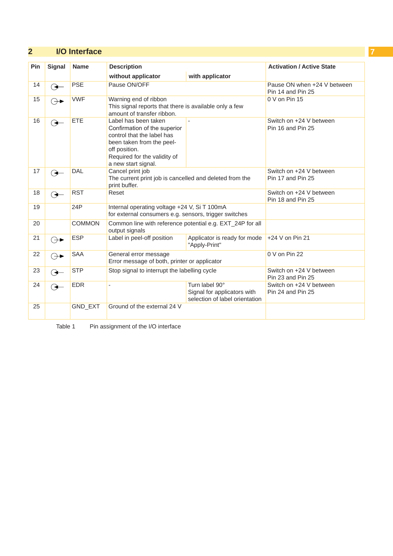# **2 [I/O Interface](#page-5-1) 7**

| Pin | <b>Signal</b>     | <b>Name</b>   | <b>Description</b>                                                                                                                                                                      | <b>Activation / Active State</b>                 |                                              |  |  |
|-----|-------------------|---------------|-----------------------------------------------------------------------------------------------------------------------------------------------------------------------------------------|--------------------------------------------------|----------------------------------------------|--|--|
|     |                   |               | without applicator<br>with applicator                                                                                                                                                   |                                                  |                                              |  |  |
| 14  | (✦                | <b>PSE</b>    | Pause ON/OFF                                                                                                                                                                            | Pause ON when +24 V between<br>Pin 14 and Pin 25 |                                              |  |  |
| 15  | ⊖⊣                | <b>VWF</b>    | Warning end of ribbon<br>This signal reports that there is available only a few<br>amount of transfer ribbon.                                                                           | 0 V on Pin 15                                    |                                              |  |  |
| 16  |                   | <b>ETE</b>    | Label has been taken<br>Confirmation of the superior<br>control that the label has<br>been taken from the peel-<br>off position.<br>Required for the validity of<br>a new start signal. |                                                  | Switch on +24 V between<br>Pin 16 and Pin 25 |  |  |
| 17  | $\leftrightarrow$ | <b>DAL</b>    | Cancel print job<br>The current print job is cancelled and deleted from the<br>print buffer.                                                                                            | Switch on +24 V between<br>Pin 17 and Pin 25     |                                              |  |  |
| 18  |                   | <b>RST</b>    | Reset                                                                                                                                                                                   | Switch on +24 V between<br>Pin 18 and Pin 25     |                                              |  |  |
| 19  |                   | 24P           | Internal operating voltage +24 V, Si T 100mA<br>for external consumers e.g. sensors, trigger switches                                                                                   |                                                  |                                              |  |  |
| 20  |                   | <b>COMMON</b> | Common line with reference potential e.g. EXT_24P for all<br>output signals                                                                                                             |                                                  |                                              |  |  |
| 21  | ⊕►                | <b>ESP</b>    | Label in peel-off position<br>Applicator is ready for mode<br>"Apply-Print"                                                                                                             |                                                  | +24 V on Pin 21                              |  |  |
| 22  | ⊖⊣                | <b>SAA</b>    | General error message<br>Error message of both, printer or applicator                                                                                                                   | 0 V on Pin 22                                    |                                              |  |  |
| 23  | پ                 | <b>STP</b>    | Stop signal to interrupt the labelling cycle                                                                                                                                            | Switch on +24 V between<br>Pin 23 and Pin 25     |                                              |  |  |
| 24  | €                 | <b>EDR</b>    | Turn label 90°<br>$\frac{1}{2}$<br>Signal for applicators with<br>selection of label orientation                                                                                        |                                                  | Switch on +24 V between<br>Pin 24 and Pin 25 |  |  |
| 25  |                   | GND_EXT       | Ground of the external 24 V                                                                                                                                                             |                                                  |                                              |  |  |

Table 1 Pin assignment of the I/O interface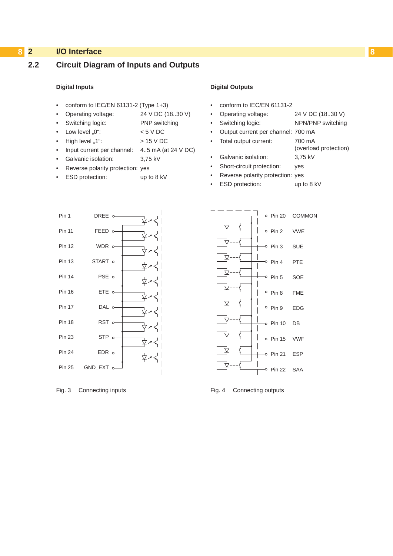# <span id="page-7-0"></span>**8 2 [I/O Interface](#page-5-1) 8**

# **2.2 Circuit Diagram of Inputs and Outputs**

### **Digital Inputs**

- conform to IEC/EN 61131-2 (Type 1+3)
- Operating voltage: 24 V DC (18..30 V)
- Switching logic: PNP switching
- Low level  ${}_{\nu}0^{\nu}$ :  ${}_{\nu}$   $<$  5 V DC
- $High level, 1"$ :  $> 15 V DC$
- Input current per channel: 4..5 mA (at 24 V DC)
- Galvanic isolation: 3,75 kV
- Reverse polarity protection: yes
- ESD protection: up to 8 kV

### **Digital Outputs**

- conform to IEC/EN 61131-2
	- Operating voltage: 24 V DC (18..30 V)
		- Switching logic: NPN/PNP switching

(overload protection)

- Output current per channel: 700 mA
- Total output current: 700 mA
- Galvanic isolation: 3,75 kV
- Short-circuit protection: yes
- Reverse polarity protection: yes
	- ESD protection: up to 8 kV



Fig. 3 Connecting inputs **Fig. 4** Connecting outputs

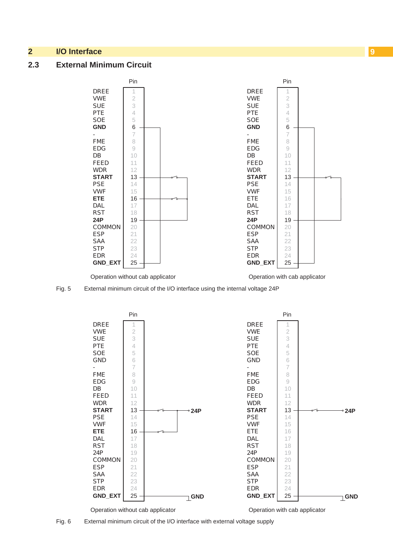# <span id="page-8-0"></span>**2 [I/O Interface](#page-5-1) 9**

### **2.3 External Minimum Circuit**



Fig. 5 External minimum circuit of the I/O interface using the internal voltage 24P



Fig. 6 External minimum circuit of the I/O interface with external voltage supply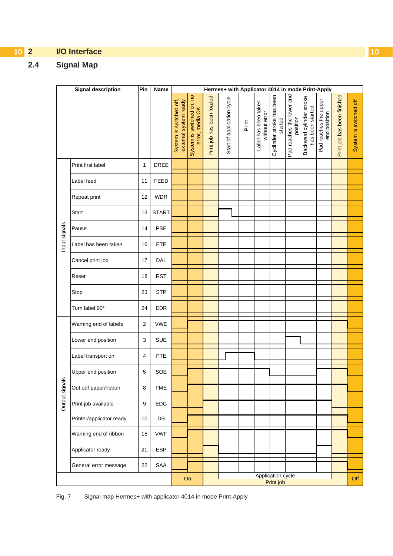# <span id="page-9-0"></span>**10 2 [I/O Interface](#page-5-1) 10**

# **2.4 Signal Map**

|               | <b>Signal description</b> | Pin            | Name         |                                                  | Hermes+ with Applicator 4014 in mode Print-Apply |                           |                            |       |                                       |                                      |                                       |                                              |                                       |                             |                        |
|---------------|---------------------------|----------------|--------------|--------------------------------------------------|--------------------------------------------------|---------------------------|----------------------------|-------|---------------------------------------|--------------------------------------|---------------------------------------|----------------------------------------------|---------------------------------------|-----------------------------|------------------------|
|               |                           |                |              | System is switched off,<br>external system ready | System is switched on, no<br>error, media OK     | Print job has been loaded | Start of application cycle | Print | Label has been taken<br>without error | Cyclinder stroke has been<br>started | Pad reaches the lower end<br>position | Backward cylinder stroke<br>has been started | Pad reaches the upper<br>end position | Print job has been finished | System is switched off |
|               | Print first label         | 1              | DREE         |                                                  |                                                  |                           |                            |       |                                       |                                      |                                       |                                              |                                       |                             |                        |
|               | Label feed                | 11             | <b>FEED</b>  |                                                  |                                                  |                           |                            |       |                                       |                                      |                                       |                                              |                                       |                             |                        |
|               | Repeat print              | 12             | <b>WDR</b>   |                                                  |                                                  |                           |                            |       |                                       |                                      |                                       |                                              |                                       |                             |                        |
|               | Start                     | 13             | <b>START</b> |                                                  |                                                  |                           |                            |       |                                       |                                      |                                       |                                              |                                       |                             |                        |
|               | Pause                     | 14             | <b>PSE</b>   |                                                  |                                                  |                           |                            |       |                                       |                                      |                                       |                                              |                                       |                             |                        |
| Input signals | Label has been taken      | 16             | ETE          |                                                  |                                                  |                           |                            |       |                                       |                                      |                                       |                                              |                                       |                             |                        |
|               | Cancel print job          | 17             | DAL          |                                                  |                                                  |                           |                            |       |                                       |                                      |                                       |                                              |                                       |                             |                        |
|               | Reset                     | 18             | <b>RST</b>   |                                                  |                                                  |                           |                            |       |                                       |                                      |                                       |                                              |                                       |                             |                        |
|               | Stop                      | 23             | <b>STP</b>   |                                                  |                                                  |                           |                            |       |                                       |                                      |                                       |                                              |                                       |                             |                        |
|               | Turn label 90°            | 24             | <b>EDR</b>   |                                                  |                                                  |                           |                            |       |                                       |                                      |                                       |                                              |                                       |                             |                        |
|               | Warning end of labels     | 2              | <b>VWE</b>   |                                                  |                                                  |                           |                            |       |                                       |                                      |                                       |                                              |                                       |                             |                        |
|               | Lower end position        | 3              | <b>SUE</b>   |                                                  |                                                  |                           |                            |       |                                       |                                      |                                       |                                              |                                       |                             |                        |
|               | Label transport on        | $\overline{4}$ | PTE          |                                                  |                                                  |                           |                            |       |                                       |                                      |                                       |                                              |                                       |                             |                        |
| $\omega$      | Upper end position        | 5              | SOE          |                                                  |                                                  |                           |                            |       |                                       |                                      |                                       |                                              |                                       |                             |                        |
| Output signal | Out odf paper/ribbon      | 8              | <b>FME</b>   |                                                  |                                                  |                           |                            |       |                                       |                                      |                                       |                                              |                                       |                             |                        |
|               | Print job available       | 9              | EDG          |                                                  |                                                  |                           |                            |       |                                       |                                      |                                       |                                              |                                       |                             |                        |
|               | Printer/applicator ready  | 10             | DB           |                                                  |                                                  |                           |                            |       |                                       |                                      |                                       |                                              |                                       |                             |                        |
|               | Warning end of ribbon     | 15             | <b>VWF</b>   |                                                  |                                                  |                           |                            |       |                                       |                                      |                                       |                                              |                                       |                             |                        |
|               | Applicator ready          | 21             | <b>ESP</b>   |                                                  |                                                  |                           |                            |       |                                       |                                      |                                       |                                              |                                       |                             |                        |
|               | General error message     | 22             | SAA          |                                                  |                                                  |                           |                            |       |                                       |                                      |                                       |                                              |                                       |                             |                        |
|               |                           |                | On           | Application cycle<br>Print job                   |                                                  |                           | Off                        |       |                                       |                                      |                                       |                                              |                                       |                             |                        |

Fig. 7 Signal map Hermes+ with applicator 4014 in mode Print-Apply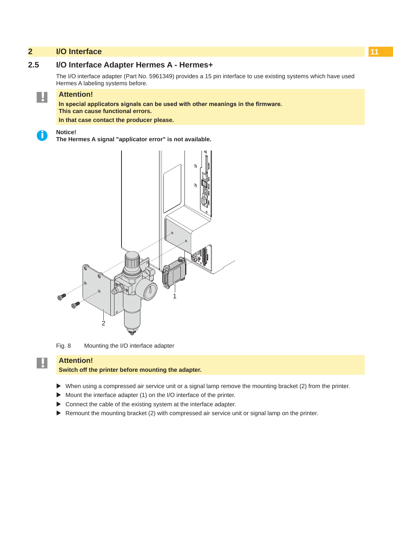# <span id="page-10-0"></span>**2 [I/O Interface](#page-5-1) 11**

# **2.5 I/O Interface Adapter Hermes A - Hermes+**

The I/O interface adapter (Part No. 5961349) provides a 15 pin interface to use existing systems which have used Hermes A labeling systems before.

# **! Attention!**

**In special applicators signals can be used with other meanings in the firmware. This can cause functional errors.**

**In that case contact the producer please.**

**i Notice!**

**The Hermes A signal "applicator error" is not available.**



Fig. 8 Mounting the I/O interface adapter

# **! Attention!**

**Switch off the printer before mounting the adapter.**

- ▶ When using a compressed air service unit or a signal lamp remove the mounting bracket (2) from the printer.
- $\triangleright$  Mount the interface adapter (1) on the I/O interface of the printer.
- $\triangleright$  Connect the cable of the existing system at the interface adapter.
- $\triangleright$  Remount the mounting bracket (2) with compressed air service unit or signal lamp on the printer.